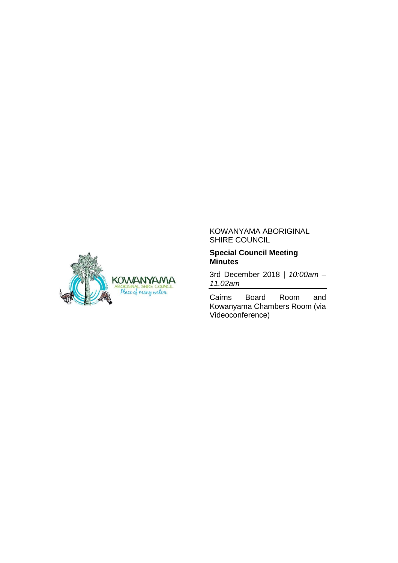

#### KOWANYAMA ABORIGINAL SHIRE COUNCIL

#### **Special Council Meeting Minutes**

3rd December 2018 | *10:00am – 11.02am*

Cairns Board Room and Kowanyama Chambers Room (via Videoconference)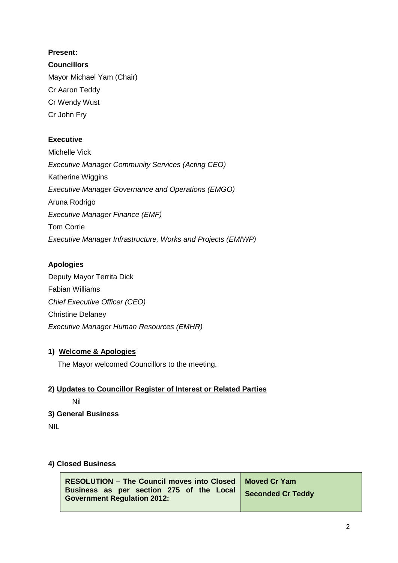### **Present:**

**Councillors** Mayor Michael Yam (Chair) Cr Aaron Teddy Cr Wendy Wust Cr John Fry

### **Executive**

Michelle Vick *Executive Manager Community Services (Acting CEO)* Katherine Wiggins *Executive Manager Governance and Operations (EMGO)* Aruna Rodrigo *Executive Manager Finance (EMF)* Tom Corrie *Executive Manager Infrastructure, Works and Projects (EMIWP)*

### **Apologies**

Deputy Mayor Territa Dick Fabian Williams *Chief Executive Officer (CEO)* Christine Delaney *Executive Manager Human Resources (EMHR)*

### **1) Welcome & Apologies**

The Mayor welcomed Councillors to the meeting.

## **2) Updates to Councillor Register of Interest or Related Parties**

Nil

## **3) General Business**

NIL

#### **4) Closed Business**

| RESOLUTION - The Council moves into Closed   Moved Cr Yam                      |                   |
|--------------------------------------------------------------------------------|-------------------|
| Business as per section 275 of the Local<br><b>Government Regulation 2012:</b> | Seconded Cr Teddy |